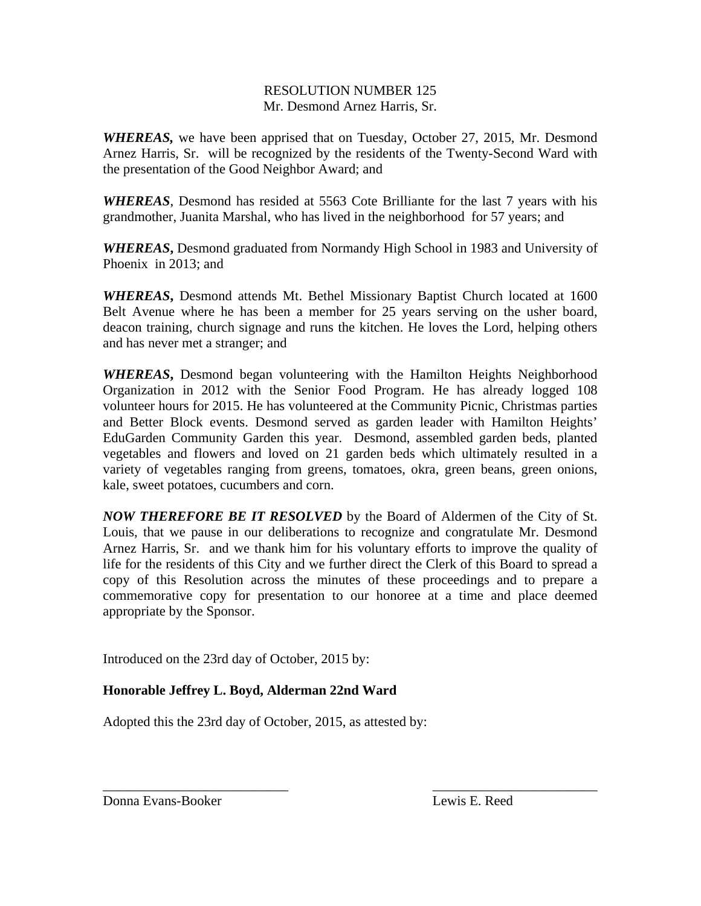## RESOLUTION NUMBER 125 Mr. Desmond Arnez Harris, Sr.

*WHEREAS,* we have been apprised that on Tuesday, October 27, 2015, Mr. Desmond Arnez Harris, Sr. will be recognized by the residents of the Twenty-Second Ward with the presentation of the Good Neighbor Award; and

*WHEREAS*, Desmond has resided at 5563 Cote Brilliante for the last 7 years with his grandmother, Juanita Marshal, who has lived in the neighborhood for 57 years; and

*WHEREAS***,** Desmond graduated from Normandy High School in 1983 and University of Phoenix in 2013; and

*WHEREAS***,** Desmond attends Mt. Bethel Missionary Baptist Church located at 1600 Belt Avenue where he has been a member for 25 years serving on the usher board, deacon training, church signage and runs the kitchen. He loves the Lord, helping others and has never met a stranger; and

*WHEREAS***,** Desmond began volunteering with the Hamilton Heights Neighborhood Organization in 2012 with the Senior Food Program. He has already logged 108 volunteer hours for 2015. He has volunteered at the Community Picnic, Christmas parties and Better Block events. Desmond served as garden leader with Hamilton Heights' EduGarden Community Garden this year. Desmond, assembled garden beds, planted vegetables and flowers and loved on 21 garden beds which ultimately resulted in a variety of vegetables ranging from greens, tomatoes, okra, green beans, green onions, kale, sweet potatoes, cucumbers and corn.

*NOW THEREFORE BE IT RESOLVED* by the Board of Aldermen of the City of St. Louis, that we pause in our deliberations to recognize and congratulate Mr. Desmond Arnez Harris, Sr. and we thank him for his voluntary efforts to improve the quality of life for the residents of this City and we further direct the Clerk of this Board to spread a copy of this Resolution across the minutes of these proceedings and to prepare a commemorative copy for presentation to our honoree at a time and place deemed appropriate by the Sponsor.

\_\_\_\_\_\_\_\_\_\_\_\_\_\_\_\_\_\_\_\_\_\_\_\_\_\_\_ \_\_\_\_\_\_\_\_\_\_\_\_\_\_\_\_\_\_\_\_\_\_\_\_

Introduced on the 23rd day of October, 2015 by:

## **Honorable Jeffrey L. Boyd, Alderman 22nd Ward**

Adopted this the 23rd day of October, 2015, as attested by:

Donna Evans-Booker Lewis E. Reed